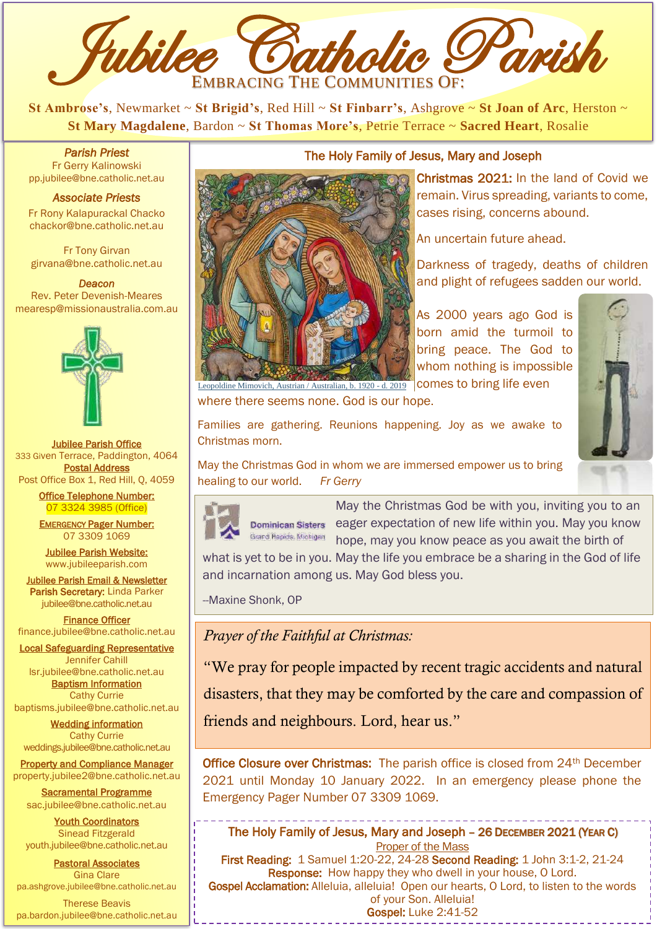

**St Ambrose's**, Newmarket ~ **St Brigid's**, Red Hill ~ **St Finbarr's**, Ashgrove ~ **St Joan of Arc**, Herston ~ **St Mary Magdalene**, Bardon ~ **St Thomas More's**, Petrie Terrace ~ **Sacred Heart**, Rosalie

*Parish Priest*  Fr Gerry Kalinowski [pp.jubilee@bne.catholic.net.au](mailto:pp.jubilee@bne.catholic.net.au)

#### *Associate Priests*

Fr Rony Kalapurackal Chacko chackor@bne.catholic.net.au

Fr Tony Girvan girvana@bne.catholic.net.au

*Deacon*  Rev. Peter Devenish-Meares mearesp@missionaustralia.com.au



Jubilee Parish Office 333 Given Terrace, Paddington, 4064 Postal Address Post Office Box 1, Red Hill, Q, 4059

> Office Telephone Number: 07 3324 3985 (Office)

> **EMERGENCY Pager Number:** 07 3309 1069

Jubilee Parish Website: [www.jubileeparish.com](http://www.jubileeparish.com/)

**Jubilee Parish Email & Newsletter** Parish Secretary: Linda Parker [jubilee@bne.catholic.net.au](mailto:jubilee@bne.catholic.net.au)

Finance Officer [finance.jubilee@bne.catholic.net.au](mailto:finance.jubilee@bne.catholic.net.au)

Local Safeguarding Representative Jennifer Cahill [lsr.jubilee@bne.catholic.net.au](mailto:lsr.jubilee@bne.catholic.net.au)

> Baptism Information Cathy Currie

[baptisms.jubilee@bne.catholic.net.au](mailto:baptisms.jubilee@bne.catholic.net.au) Wedding information

Cathy Currie [weddings.jubilee@bne.catholic.net.au](mailto:weddings.jubilee@bne.catholic.net.au)

Property and Compliance Manager property.jubilee2@bne.catholic.net.au

Sacramental Programme [sac.jubilee@bne.catholic.net.au](mailto:sac.jubilee@bne.catholic.net.au)

**Youth Coordinators** Sinead Fitzgerald [youth.jubilee@bne.catholic.net.au](mailto:youth.jubilee@bne.catholic.net.au)

Pastoral Associates Gina Clare [pa.ashgrove.jubilee@bne.catholic.net.au](mailto:pa.ashgrove.jubilee@bne.catholic.net.au)

Therese Beavis pa.bardon.jubilee@bne.catholic.net.au



#### The Holy Family of Jesus, Mary and Joseph

Christmas 2021: In the land of Covid we remain. Virus spreading, variants to come, cases rising, concerns abound.

An uncertain future ahead.

Darkness of tragedy, deaths of children and plight of refugees sadden our world.

As 2000 years ago God is born amid the turmoil to bring peace. The God to whom nothing is impossible comes to bring life even

[where there seems none. God is our h](https://ehive.com/objects?query=primary_creator_maker%3A%22Leopoldine+Mimovich%2C+Austrian+%2F+Australian%2C+b.+1920+%5C-+d.+2019%22&sort=name)ope. Leopoldine Mimovich, Austrian / Australian, b. 1920 - d. 2019



Families are gathering. Reunions happening. Joy as we awake to Christmas morn.

May the Christmas God in whom we are immersed empower us to bring healing to our world. *Fr Gerry*



 eager expectation of new life within you. May you know May the Christmas God be with you, inviting you to an hope, may you know peace as you await the birth of

what is yet to be in you. May the life you embrace be a sharing in the God of life and incarnation among us. May God bless you.

--Maxine Shonk, OP

*Prayer of the Faithful at Christmas:* 

"We pray for people impacted by recent tragic accidents and natural

disasters, that they may be comforted by the care and compassion of

friends and neighbours. Lord, hear us."

Office Closure over Christmas: The parish office is closed from 24<sup>th</sup> December 2021 until Monday 10 January 2022. In an emergency please phone the Emergency Pager Number 07 3309 1069.

The Holy Family of Jesus, Mary and Joseph – 26 DECEMBER 2021 (YEAR C) Proper of the Mass

**First Reading:** 1 Samuel 1:20-22, 24-28 **Second Reading:** 1 John 3:1-2, 21-24 Response: How happy they who dwell in your house, O Lord. Gospel Acclamation: Alleluia, alleluia! Open our hearts, O Lord, to listen to the words of your Son. Alleluia! Gospel: Luke 2:41-52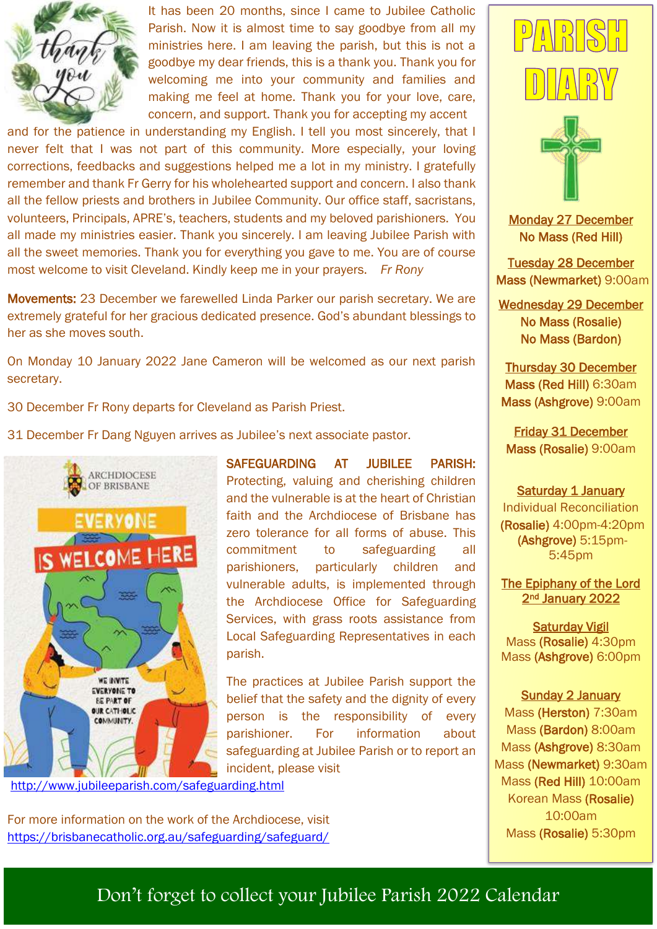

It has been 20 months, since I came to Jubilee Catholic Parish. Now it is almost time to say goodbye from all my ministries here. I am leaving the parish, but this is not a goodbye my dear friends, this is a thank you. Thank you for welcoming me into your community and families and making me feel at home. Thank you for your love, care, concern, and support. Thank you for accepting my accent

and for the patience in understanding my English. I tell you most sincerely, that I never felt that I was not part of this community. More especially, your loving corrections, feedbacks and suggestions helped me a lot in my ministry. I gratefully remember and thank Fr Gerry for his wholehearted support and concern. I also thank all the fellow priests and brothers in Jubilee Community. Our office staff, sacristans, volunteers, Principals, APRE's, teachers, students and my beloved parishioners. You all made my ministries easier. Thank you sincerely. I am leaving Jubilee Parish with all the sweet memories. Thank you for everything you gave to me. You are of course most welcome to visit Cleveland. Kindly keep me in your prayers. *Fr Rony*

Movements: 23 December we farewelled Linda Parker our parish secretary. We are extremely grateful for her gracious dedicated presence. God's abundant blessings to her as she moves south.

On Monday 10 January 2022 Jane Cameron will be welcomed as our next parish secretary.

30 December Fr Rony departs for Cleveland as Parish Priest.

31 December Fr Dang Nguyen arrives as Jubilee's next associate pastor.



SAFEGUARDING AT JUBILEE PARISH: Protecting, valuing and cherishing children and the vulnerable is at the heart of Christian faith and the Archdiocese of Brisbane has zero tolerance for all forms of abuse. This commitment to safeguarding all parishioners, particularly children and vulnerable adults, is implemented through the Archdiocese Office for Safeguarding Services, with grass roots assistance from Local Safeguarding Representatives in each parish.

The practices at Jubilee Parish support the belief that the safety and the dignity of every person is the responsibility of every parishioner. For information about safeguarding at Jubilee Parish or to report an incident, please visit

<http://www.jubileeparish.com/safeguarding.html>

For more information on the work of the Archdiocese, visit <https://brisbanecatholic.org.au/safeguarding/safeguard/>





Monday 27 December No Mass (Red Hill)

Tuesday 28 December Mass (Newmarket) 9:00am

Wednesday 29 December No Mass (Rosalie) No Mass (Bardon)

Thursday 30 December Mass (Red Hill) 6:30am Mass (Ashgrove) 9:00am

Friday 31 December Mass (Rosalie) 9:00am

Saturday 1 January Individual Reconciliation (Rosalie) 4:00pm-4:20pm (Ashgrove) 5:15pm-5:45pm

The Epiphany of the Lord 2<sup>nd</sup> January 2022

Saturday Vigil Mass (Rosalie) 4:30pm Mass (Ashgrove) 6:00pm

Sunday 2 January Mass (Herston) 7:30am Mass (Bardon) 8:00am Mass (Ashgrove) 8:30am Mass (Newmarket) 9:30am Mass (Red Hill) 10:00am Korean Mass (Rosalie) 10:00am Mass (Rosalie) 5:30pm

Don't forget to collect your Jubilee Parish 2022 Calendar

*Carols on Clyde*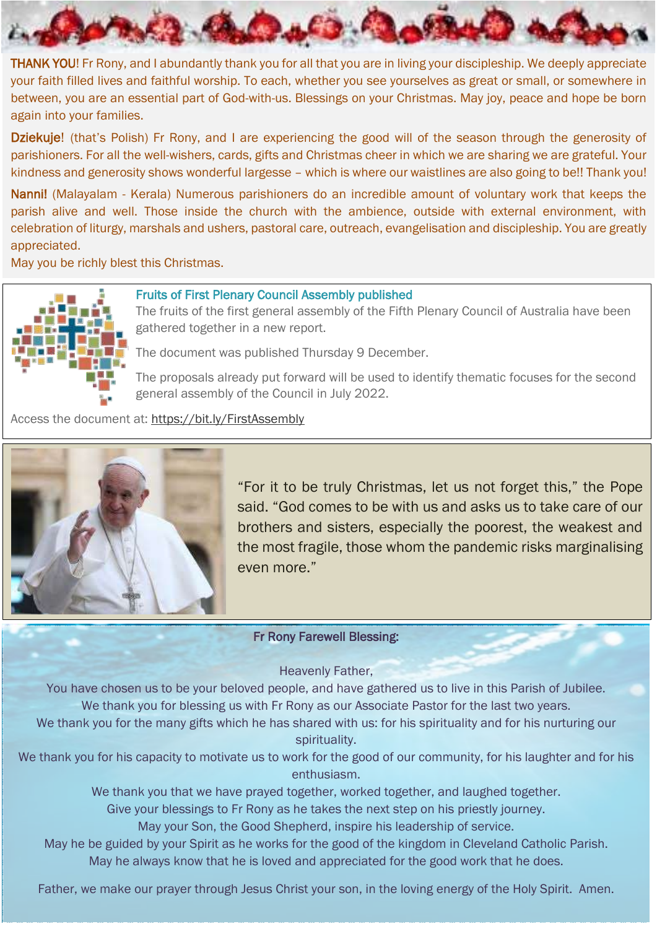I THANK YOU! Fr Rony, and I abundantly thank you for all that you are in living your discipleship. We deeply appreciate your faith filled lives and faithful worship. To each, whether you see yourselves as great or small, or somewhere in between, you are an essential part of God-with-us. Blessings on your Christmas. May joy, peace and hope be born again into your families.

Dziekuje! (that's Polish) Fr Rony, and I are experiencing the good will of the season through the generosity of parishioners. For all the well-wishers, cards, gifts and Christmas cheer in which we are sharing we are grateful. Your kindness and generosity shows wonderful largesse – which is where our waistlines are also going to be!! Thank you!

Nanni! (Malayalam - Kerala) Numerous parishioners do an incredible amount of voluntary work that keeps the parish alive and well. Those inside the church with the ambience, outside with external environment, with celebration of liturgy, marshals and ushers, pastoral care, outreach, evangelisation and discipleship. You are greatly appreciated.

May you be richly blest this Christmas.



J

#### Fruits of First Plenary Council Assembly published

The fruits of the first general assembly of the Fifth Plenary Council of Australia have been gathered together in a new report.

The document was published Thursday 9 December.

The proposals already put forward will be used to identify thematic focuses for the second general assembly of the Council in July 2022.

Access the document at: <https://bit.ly/FirstAssembly>



"For it to be truly Christmas, let us not forget this," the Pope said. "God comes to be with us and asks us to take care of our brothers and sisters, especially the poorest, the weakest and the most fragile, those whom the pandemic risks marginalising even more."

#### Fr Rony Farewell Blessing:

Heavenly Father,

You have chosen us to be your beloved people, and have gathered us to live in this Parish of Jubilee. We thank you for blessing us with Fr Rony as our Associate Pastor for the last two years.

We thank you for the many gifts which he has shared with us: for his spirituality and for his nurturing our spirituality.

We thank you for his capacity to motivate us to work for the good of our community, for his laughter and for his enthusiasm.

We thank you that we have prayed together, worked together, and laughed together.

Give your blessings to Fr Rony as he takes the next step on his priestly journey.

May your Son, the Good Shepherd, inspire his leadership of service.

May he always know that he is loved and appreciated for the good work that he does. May he be guided by your Spirit as he works for the good of the kingdom in Cleveland Catholic Parish.

Father, we make our prayer through Jesus Christ your son, in the loving energy of the Holy Spirit. Amen.